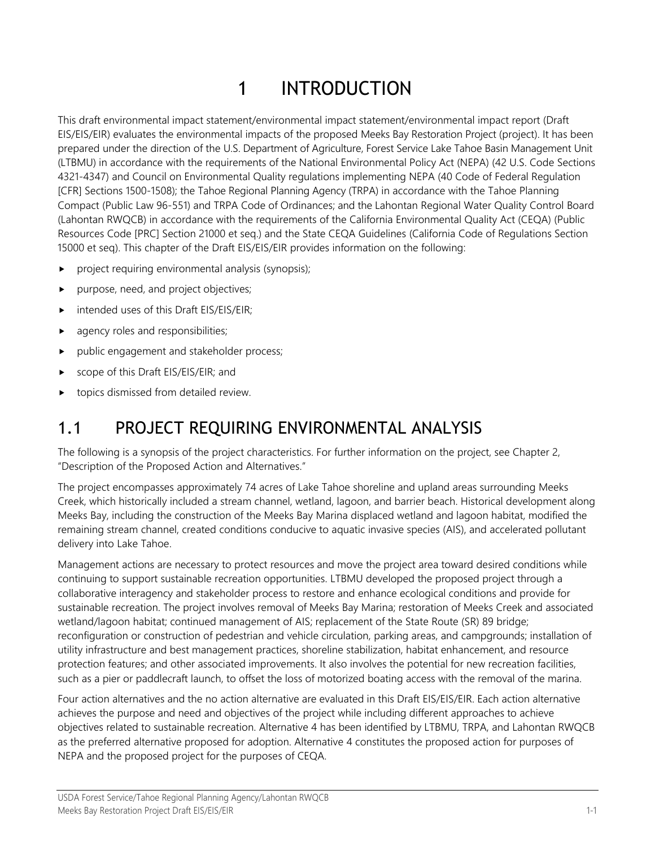# 1 INTRODUCTION

This draft environmental impact statement/environmental impact statement/environmental impact report (Draft EIS/EIS/EIR) evaluates the environmental impacts of the proposed Meeks Bay Restoration Project (project). It has been prepared under the direction of the U.S. Department of Agriculture, Forest Service Lake Tahoe Basin Management Unit (LTBMU) in accordance with the requirements of the National Environmental Policy Act (NEPA) (42 U.S. Code Sections 4321-4347) and Council on Environmental Quality regulations implementing NEPA (40 Code of Federal Regulation [CFR] Sections 1500-1508); the Tahoe Regional Planning Agency (TRPA) in accordance with the Tahoe Planning Compact (Public Law 96-551) and TRPA Code of Ordinances; and the Lahontan Regional Water Quality Control Board (Lahontan RWQCB) in accordance with the requirements of the California Environmental Quality Act (CEQA) (Public Resources Code [PRC] Section 21000 et seq.) and the State CEQA Guidelines (California Code of Regulations Section 15000 et seq). This chapter of the Draft EIS/EIS/EIR provides information on the following:

- project requiring environmental analysis (synopsis);
- purpose, need, and project objectives;
- intended uses of this Draft EIS/EIS/EIR;
- agency roles and responsibilities;
- public engagement and stakeholder process;
- scope of this Draft EIS/EIS/EIR; and
- topics dismissed from detailed review.

### 1.1 PROJECT REQUIRING ENVIRONMENTAL ANALYSIS

The following is a synopsis of the project characteristics. For further information on the project, see Chapter 2, "Description of the Proposed Action and Alternatives."

The project encompasses approximately 74 acres of Lake Tahoe shoreline and upland areas surrounding Meeks Creek, which historically included a stream channel, wetland, lagoon, and barrier beach. Historical development along Meeks Bay, including the construction of the Meeks Bay Marina displaced wetland and lagoon habitat, modified the remaining stream channel, created conditions conducive to aquatic invasive species (AIS), and accelerated pollutant delivery into Lake Tahoe.

Management actions are necessary to protect resources and move the project area toward desired conditions while continuing to support sustainable recreation opportunities. LTBMU developed the proposed project through a collaborative interagency and stakeholder process to restore and enhance ecological conditions and provide for sustainable recreation. The project involves removal of Meeks Bay Marina; restoration of Meeks Creek and associated wetland/lagoon habitat; continued management of AIS; replacement of the State Route (SR) 89 bridge; reconfiguration or construction of pedestrian and vehicle circulation, parking areas, and campgrounds; installation of utility infrastructure and best management practices, shoreline stabilization, habitat enhancement, and resource protection features; and other associated improvements. It also involves the potential for new recreation facilities, such as a pier or paddlecraft launch, to offset the loss of motorized boating access with the removal of the marina.

Four action alternatives and the no action alternative are evaluated in this Draft EIS/EIS/EIR. Each action alternative achieves the purpose and need and objectives of the project while including different approaches to achieve objectives related to sustainable recreation. Alternative 4 has been identified by LTBMU, TRPA, and Lahontan RWQCB as the preferred alternative proposed for adoption. Alternative 4 constitutes the proposed action for purposes of NEPA and the proposed project for the purposes of CEQA.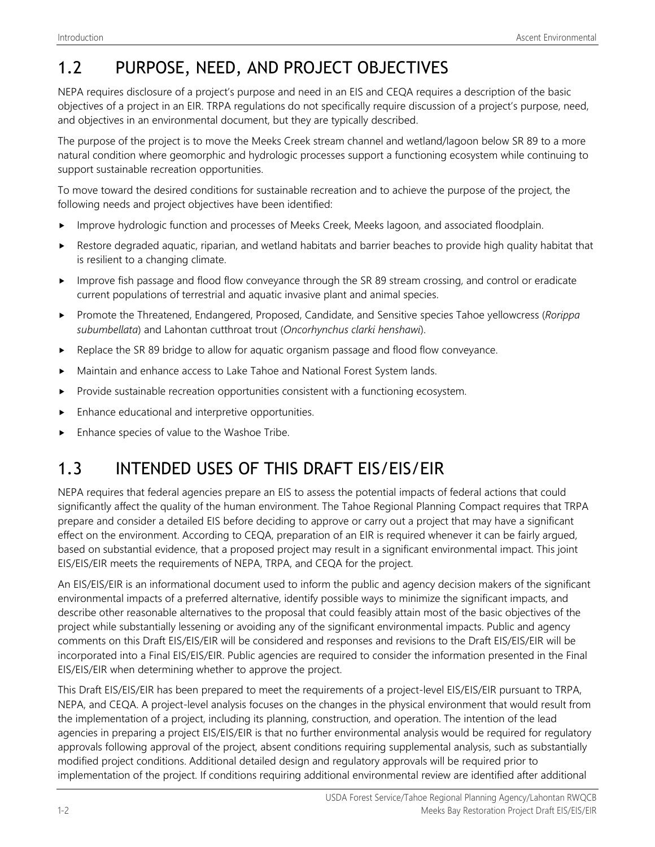# 1.2 PURPOSE, NEED, AND PROJECT OBJECTIVES

NEPA requires disclosure of a project's purpose and need in an EIS and CEQA requires a description of the basic objectives of a project in an EIR. TRPA regulations do not specifically require discussion of a project's purpose, need, and objectives in an environmental document, but they are typically described.

The purpose of the project is to move the Meeks Creek stream channel and wetland/lagoon below SR 89 to a more natural condition where geomorphic and hydrologic processes support a functioning ecosystem while continuing to support sustainable recreation opportunities.

To move toward the desired conditions for sustainable recreation and to achieve the purpose of the project, the following needs and project objectives have been identified:

- Improve hydrologic function and processes of Meeks Creek, Meeks lagoon, and associated floodplain.
- Restore degraded aquatic, riparian, and wetland habitats and barrier beaches to provide high quality habitat that is resilient to a changing climate.
- Improve fish passage and flood flow conveyance through the SR 89 stream crossing, and control or eradicate current populations of terrestrial and aquatic invasive plant and animal species.
- Promote the Threatened, Endangered, Proposed, Candidate, and Sensitive species Tahoe yellowcress (*Rorippa subumbellata*) and Lahontan cutthroat trout (*Oncorhynchus clarki henshawi*).
- $\blacktriangleright$  Replace the SR 89 bridge to allow for aquatic organism passage and flood flow conveyance.
- Maintain and enhance access to Lake Tahoe and National Forest System lands.
- Provide sustainable recreation opportunities consistent with a functioning ecosystem.
- Enhance educational and interpretive opportunities.
- Enhance species of value to the Washoe Tribe.

# 1.3 INTENDED USES OF THIS DRAFT EIS/EIS/EIR

NEPA requires that federal agencies prepare an EIS to assess the potential impacts of federal actions that could significantly affect the quality of the human environment. The Tahoe Regional Planning Compact requires that TRPA prepare and consider a detailed EIS before deciding to approve or carry out a project that may have a significant effect on the environment. According to CEQA, preparation of an EIR is required whenever it can be fairly argued, based on substantial evidence, that a proposed project may result in a significant environmental impact. This joint EIS/EIS/EIR meets the requirements of NEPA, TRPA, and CEQA for the project.

An EIS/EIS/EIR is an informational document used to inform the public and agency decision makers of the significant environmental impacts of a preferred alternative, identify possible ways to minimize the significant impacts, and describe other reasonable alternatives to the proposal that could feasibly attain most of the basic objectives of the project while substantially lessening or avoiding any of the significant environmental impacts. Public and agency comments on this Draft EIS/EIS/EIR will be considered and responses and revisions to the Draft EIS/EIS/EIR will be incorporated into a Final EIS/EIS/EIR. Public agencies are required to consider the information presented in the Final EIS/EIS/EIR when determining whether to approve the project.

This Draft EIS/EIS/EIR has been prepared to meet the requirements of a project-level EIS/EIS/EIR pursuant to TRPA, NEPA, and CEQA. A project-level analysis focuses on the changes in the physical environment that would result from the implementation of a project, including its planning, construction, and operation. The intention of the lead agencies in preparing a project EIS/EIS/EIR is that no further environmental analysis would be required for regulatory approvals following approval of the project, absent conditions requiring supplemental analysis, such as substantially modified project conditions. Additional detailed design and regulatory approvals will be required prior to implementation of the project. If conditions requiring additional environmental review are identified after additional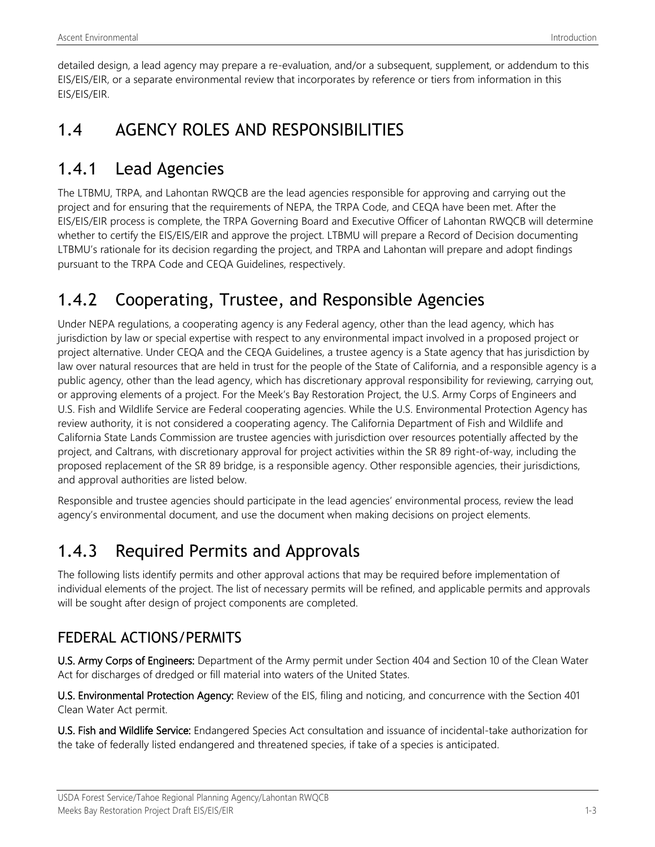detailed design, a lead agency may prepare a re-evaluation, and/or a subsequent, supplement, or addendum to this EIS/EIS/EIR, or a separate environmental review that incorporates by reference or tiers from information in this EIS/EIS/EIR.

### 1.4 AGENCY ROLES AND RESPONSIBILITIES

### 1.4.1 Lead Agencies

The LTBMU, TRPA, and Lahontan RWQCB are the lead agencies responsible for approving and carrying out the project and for ensuring that the requirements of NEPA, the TRPA Code, and CEQA have been met. After the EIS/EIS/EIR process is complete, the TRPA Governing Board and Executive Officer of Lahontan RWQCB will determine whether to certify the EIS/EIS/EIR and approve the project. LTBMU will prepare a Record of Decision documenting LTBMU's rationale for its decision regarding the project, and TRPA and Lahontan will prepare and adopt findings pursuant to the TRPA Code and CEQA Guidelines, respectively.

# 1.4.2 Cooperating, Trustee, and Responsible Agencies

Under NEPA regulations, a cooperating agency is any Federal agency, other than the lead agency, which has jurisdiction by law or special expertise with respect to any environmental impact involved in a proposed project or project alternative. Under CEQA and the CEQA Guidelines, a trustee agency is a State agency that has jurisdiction by law over natural resources that are held in trust for the people of the State of California, and a responsible agency is a public agency, other than the lead agency, which has discretionary approval responsibility for reviewing, carrying out, or approving elements of a project. For the Meek's Bay Restoration Project, the U.S. Army Corps of Engineers and U.S. Fish and Wildlife Service are Federal cooperating agencies. While the U.S. Environmental Protection Agency has review authority, it is not considered a cooperating agency. The California Department of Fish and Wildlife and California State Lands Commission are trustee agencies with jurisdiction over resources potentially affected by the project, and Caltrans, with discretionary approval for project activities within the SR 89 right-of-way, including the proposed replacement of the SR 89 bridge, is a responsible agency. Other responsible agencies, their jurisdictions, and approval authorities are listed below.

Responsible and trustee agencies should participate in the lead agencies' environmental process, review the lead agency's environmental document, and use the document when making decisions on project elements.

# 1.4.3 Required Permits and Approvals

The following lists identify permits and other approval actions that may be required before implementation of individual elements of the project. The list of necessary permits will be refined, and applicable permits and approvals will be sought after design of project components are completed.

#### FEDERAL ACTIONS/PERMITS

U.S. Army Corps of Engineers: Department of the Army permit under Section 404 and Section 10 of the Clean Water Act for discharges of dredged or fill material into waters of the United States.

U.S. Environmental Protection Agency: Review of the EIS, filing and noticing, and concurrence with the Section 401 Clean Water Act permit.

U.S. Fish and Wildlife Service: Endangered Species Act consultation and issuance of incidental-take authorization for the take of federally listed endangered and threatened species, if take of a species is anticipated.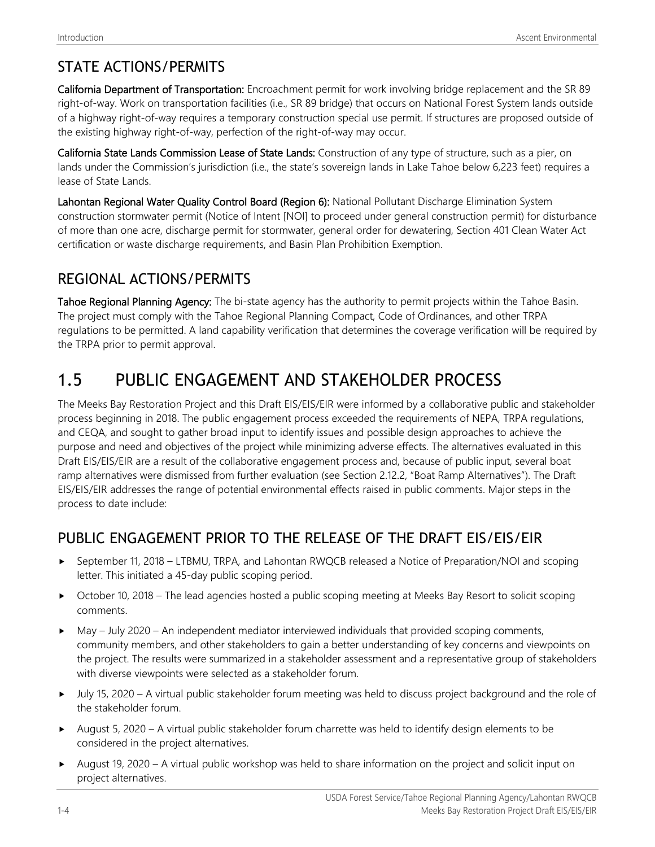#### STATE ACTIONS/PERMITS

California Department of Transportation: Encroachment permit for work involving bridge replacement and the SR 89 right-of-way. Work on transportation facilities (i.e., SR 89 bridge) that occurs on National Forest System lands outside of a highway right-of-way requires a temporary construction special use permit. If structures are proposed outside of the existing highway right-of-way, perfection of the right-of-way may occur.

California State Lands Commission Lease of State Lands: Construction of any type of structure, such as a pier, on lands under the Commission's jurisdiction (i.e., the state's sovereign lands in Lake Tahoe below 6,223 feet) requires a lease of State Lands.

Lahontan Regional Water Quality Control Board (Region 6): National Pollutant Discharge Elimination System construction stormwater permit (Notice of Intent [NOI] to proceed under general construction permit) for disturbance of more than one acre, discharge permit for stormwater, general order for dewatering, Section 401 Clean Water Act certification or waste discharge requirements, and Basin Plan Prohibition Exemption.

#### REGIONAL ACTIONS/PERMITS

Tahoe Regional Planning Agency: The bi-state agency has the authority to permit projects within the Tahoe Basin. The project must comply with the Tahoe Regional Planning Compact, Code of Ordinances, and other TRPA regulations to be permitted. A land capability verification that determines the coverage verification will be required by the TRPA prior to permit approval.

# 1.5 PUBLIC ENGAGEMENT AND STAKEHOLDER PROCESS

The Meeks Bay Restoration Project and this Draft EIS/EIS/EIR were informed by a collaborative public and stakeholder process beginning in 2018. The public engagement process exceeded the requirements of NEPA, TRPA regulations, and CEQA, and sought to gather broad input to identify issues and possible design approaches to achieve the purpose and need and objectives of the project while minimizing adverse effects. The alternatives evaluated in this Draft EIS/EIS/EIR are a result of the collaborative engagement process and, because of public input, several boat ramp alternatives were dismissed from further evaluation (see Section 2.12.2, "Boat Ramp Alternatives"). The Draft EIS/EIS/EIR addresses the range of potential environmental effects raised in public comments. Major steps in the process to date include:

#### PUBLIC ENGAGEMENT PRIOR TO THE RELEASE OF THE DRAFT EIS/EIS/EIR

- ► September 11, 2018 LTBMU, TRPA, and Lahontan RWQCB released a Notice of Preparation/NOI and scoping letter. This initiated a 45-day public scoping period.
- October 10, 2018 The lead agencies hosted a public scoping meeting at Meeks Bay Resort to solicit scoping comments.
- May July 2020 An independent mediator interviewed individuals that provided scoping comments, community members, and other stakeholders to gain a better understanding of key concerns and viewpoints on the project. The results were summarized in a stakeholder assessment and a representative group of stakeholders with diverse viewpoints were selected as a stakeholder forum.
- July 15, 2020 A virtual public stakeholder forum meeting was held to discuss project background and the role of the stakeholder forum.
- August 5, 2020 A virtual public stakeholder forum charrette was held to identify design elements to be considered in the project alternatives.
- August 19, 2020 A virtual public workshop was held to share information on the project and solicit input on project alternatives.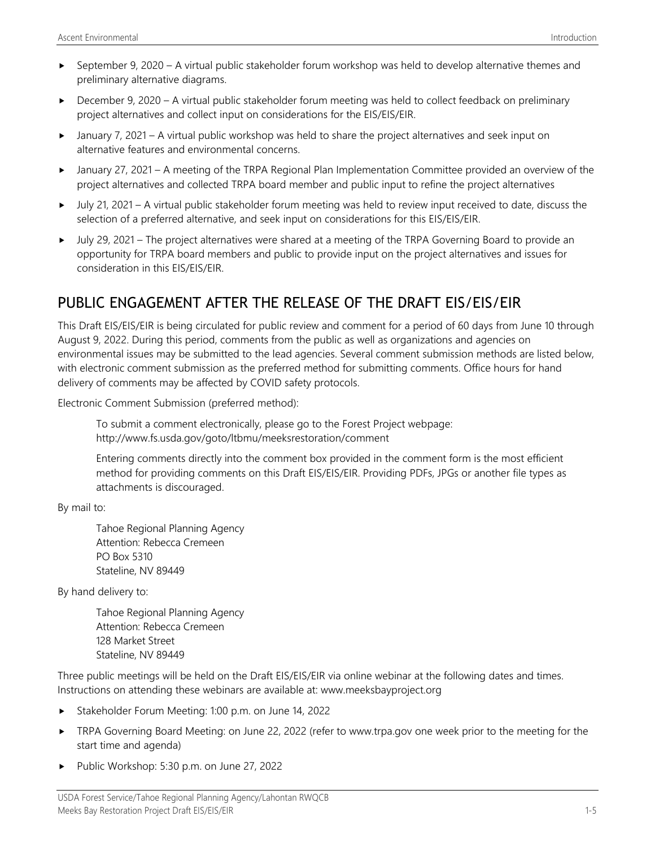- $\triangleright$  September 9, 2020 A virtual public stakeholder forum workshop was held to develop alternative themes and preliminary alternative diagrams.
- ► December 9, 2020 A virtual public stakeholder forum meeting was held to collect feedback on preliminary project alternatives and collect input on considerations for the EIS/EIS/EIR.
- January 7, 2021 A virtual public workshop was held to share the project alternatives and seek input on alternative features and environmental concerns.
- January 27, 2021 A meeting of the TRPA Regional Plan Implementation Committee provided an overview of the project alternatives and collected TRPA board member and public input to refine the project alternatives
- July 21, 2021 A virtual public stakeholder forum meeting was held to review input received to date, discuss the selection of a preferred alternative, and seek input on considerations for this EIS/EIS/EIR.
- July 29, 2021 The project alternatives were shared at a meeting of the TRPA Governing Board to provide an opportunity for TRPA board members and public to provide input on the project alternatives and issues for consideration in this EIS/EIS/EIR.

#### PUBLIC ENGAGEMENT AFTER THE RELEASE OF THE DRAFT EIS/EIS/EIR

This Draft EIS/EIS/EIR is being circulated for public review and comment for a period of 60 days from June 10 through August 9, 2022. During this period, comments from the public as well as organizations and agencies on environmental issues may be submitted to the lead agencies. Several comment submission methods are listed below, with electronic comment submission as the preferred method for submitting comments. Office hours for hand delivery of comments may be affected by COVID safety protocols.

Electronic Comment Submission (preferred method):

To submit a comment electronically, please go to the Forest Project webpage: <http://www.fs.usda.gov/goto/ltbmu/meeksrestoration/comment>

Entering comments directly into the comment box provided in the comment form is the most efficient method for providing comments on this Draft EIS/EIS/EIR. Providing PDFs, JPGs or another file types as attachments is discouraged.

By mail to:

Tahoe Regional Planning Agency Attention: Rebecca Cremeen PO Box 5310 Stateline, NV 89449

By hand delivery to:

Tahoe Regional Planning Agency Attention: Rebecca Cremeen 128 Market Street Stateline, NV 89449

Three public meetings will be held on the Draft EIS/EIS/EIR via online webinar at the following dates and times. Instructions on attending these webinars are available at: www.meeksbayproject.org

- Stakeholder Forum Meeting: 1:00 p.m. on June 14, 2022
- ► TRPA Governing Board Meeting: on June 22, 2022 (refer to [www.trpa.gov](http://www.trpa.gov/) one week prior to the meeting for the start time and agenda)
- Public Workshop: 5:30 p.m. on June 27, 2022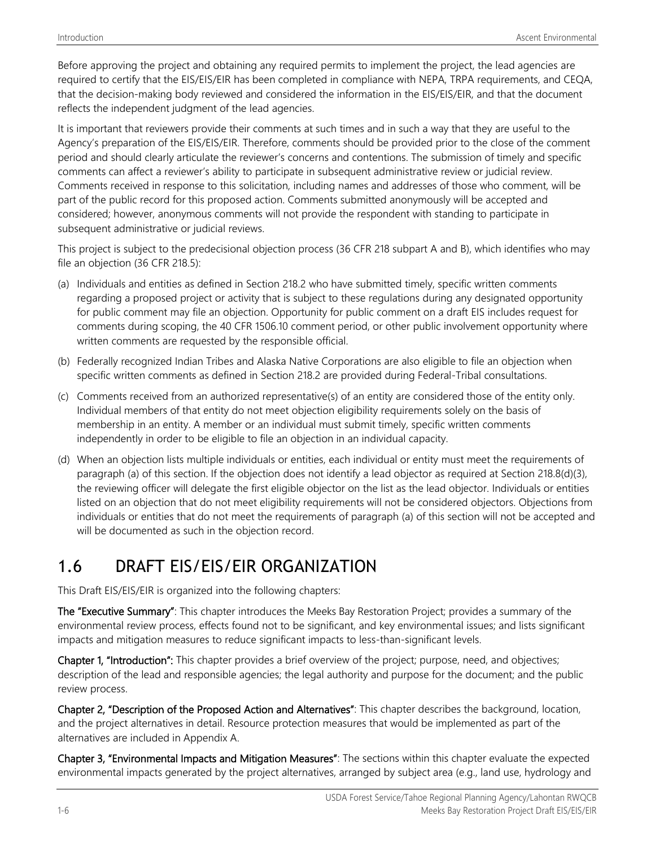Before approving the project and obtaining any required permits to implement the project, the lead agencies are required to certify that the EIS/EIS/EIR has been completed in compliance with NEPA, TRPA requirements, and CEQA, that the decision-making body reviewed and considered the information in the EIS/EIS/EIR, and that the document reflects the independent judgment of the lead agencies.

It is important that reviewers provide their comments at such times and in such a way that they are useful to the Agency's preparation of the EIS/EIS/EIR. Therefore, comments should be provided prior to the close of the comment period and should clearly articulate the reviewer's concerns and contentions. The submission of timely and specific comments can affect a reviewer's ability to participate in subsequent administrative review or judicial review. Comments received in response to this solicitation, including names and addresses of those who comment, will be part of the public record for this proposed action. Comments submitted anonymously will be accepted and considered; however, anonymous comments will not provide the respondent with standing to participate in subsequent administrative or judicial reviews.

This project is subject to the predecisional objection process (36 CFR 218 subpart A and B), which identifies who may file an objection (36 CFR 218.5):

- (a) Individuals and entities as defined in [Section 218.2](https://www.ecfr.gov/current/title-36/section-218.2) who have submitted timely, specific written comments regarding a proposed project or activity that is subject to these regulations during any designated opportunity for public comment may file an objection. Opportunity for public comment on a draft EIS includes request for comments during scoping, the [40 CFR 1506.10](https://www.ecfr.gov/current/title-40/section-1506.10) comment period, or other public involvement opportunity where written comments are requested by the responsible official.
- (b) Federally recognized Indian Tribes and Alaska Native Corporations are also eligible to file an objection when specific written comments as defined i[n Section](https://www.ecfr.gov/current/title-36/section-218.2) 218.2 are provided during Federal-Tribal consultations.
- (c) Comments received from an authorized representative(s) of an entity are considered those of the entity only. Individual members of that entity do not meet objection eligibility requirements solely on the basis of membership in an entity. A member or an individual must submit timely, specific written comments independently in order to be eligible to file an objection in an individual capacity.
- (d) When an objection lists multiple individuals or entities, each individual or entity must meet the requirements of [paragraph \(a\)](https://www.ecfr.gov/current/title-36/section-218.5#p-218.5(a)) of this section. If the objection does not identify a lead objector as required at Section [218.8\(d\)\(3\),](https://www.ecfr.gov/current/title-36/section-218.8#p-218.8(d)(3)) the reviewing officer will delegate the first eligible objector on the list as the lead objector. Individuals or entities listed on an objection that do not meet eligibility requirements will not be considered objectors. Objections from individuals or entities that do not meet the requirements of [paragraph \(a\)](https://www.ecfr.gov/current/title-36/section-218.5#p-218.5(a)) of this section will not be accepted and will be documented as such in the objection record.

### 1.6 DRAFT EIS/EIS/EIR ORGANIZATION

This Draft EIS/EIS/EIR is organized into the following chapters:

The "Executive Summary": This chapter introduces the Meeks Bay Restoration Project; provides a summary of the environmental review process, effects found not to be significant, and key environmental issues; and lists significant impacts and mitigation measures to reduce significant impacts to less-than-significant levels.

Chapter 1, "Introduction": This chapter provides a brief overview of the project; purpose, need, and objectives; description of the lead and responsible agencies; the legal authority and purpose for the document; and the public review process.

Chapter 2, "Description of the Proposed Action and Alternatives": This chapter describes the background, location, and the project alternatives in detail. Resource protection measures that would be implemented as part of the alternatives are included in Appendix A.

Chapter 3, "Environmental Impacts and Mitigation Measures": The sections within this chapter evaluate the expected environmental impacts generated by the project alternatives, arranged by subject area (e.g., land use, hydrology and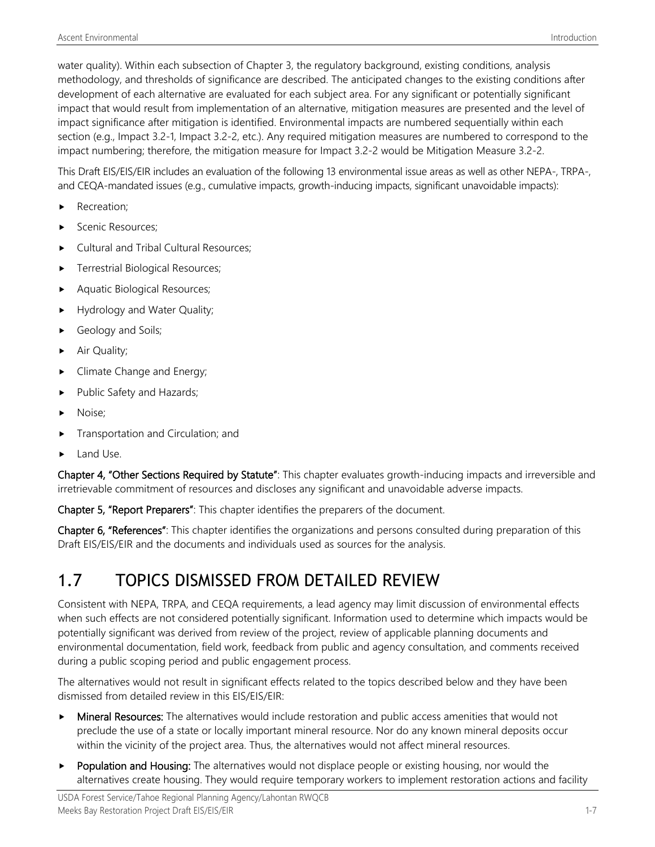water quality). Within each subsection of Chapter 3, the regulatory background, existing conditions, analysis methodology, and thresholds of significance are described. The anticipated changes to the existing conditions after development of each alternative are evaluated for each subject area. For any significant or potentially significant impact that would result from implementation of an alternative, mitigation measures are presented and the level of impact significance after mitigation is identified. Environmental impacts are numbered sequentially within each section (e.g., Impact 3.2-1, Impact 3.2-2, etc.). Any required mitigation measures are numbered to correspond to the impact numbering; therefore, the mitigation measure for Impact 3.2-2 would be Mitigation Measure 3.2-2.

This Draft EIS/EIS/EIR includes an evaluation of the following 13 environmental issue areas as well as other NEPA-, TRPA-, and CEQA-mandated issues (e.g., cumulative impacts, growth-inducing impacts, significant unavoidable impacts):

- Recreation:
- Scenic Resources;
- Cultural and Tribal Cultural Resources;
- Terrestrial Biological Resources;
- Aquatic Biological Resources;
- Hydrology and Water Quality;
- Geology and Soils;
- Air Quality;
- Climate Change and Energy;
- Public Safety and Hazards;
- Noise;
- Transportation and Circulation; and
- Land Use.

Chapter 4, "Other Sections Required by Statute": This chapter evaluates growth-inducing impacts and irreversible and irretrievable commitment of resources and discloses any significant and unavoidable adverse impacts.

Chapter 5, "Report Preparers": This chapter identifies the preparers of the document.

Chapter 6, "References": This chapter identifies the organizations and persons consulted during preparation of this Draft EIS/EIS/EIR and the documents and individuals used as sources for the analysis.

### 1.7 TOPICS DISMISSED FROM DETAILED REVIEW

Consistent with NEPA, TRPA, and CEQA requirements, a lead agency may limit discussion of environmental effects when such effects are not considered potentially significant. Information used to determine which impacts would be potentially significant was derived from review of the project, review of applicable planning documents and environmental documentation, field work, feedback from public and agency consultation, and comments received during a public scoping period and public engagement process.

The alternatives would not result in significant effects related to the topics described below and they have been dismissed from detailed review in this EIS/EIS/EIR:

- **Mineral Resources:** The alternatives would include restoration and public access amenities that would not preclude the use of a state or locally important mineral resource. Nor do any known mineral deposits occur within the vicinity of the project area. Thus, the alternatives would not affect mineral resources.
- Population and Housing: The alternatives would not displace people or existing housing, nor would the alternatives create housing. They would require temporary workers to implement restoration actions and facility